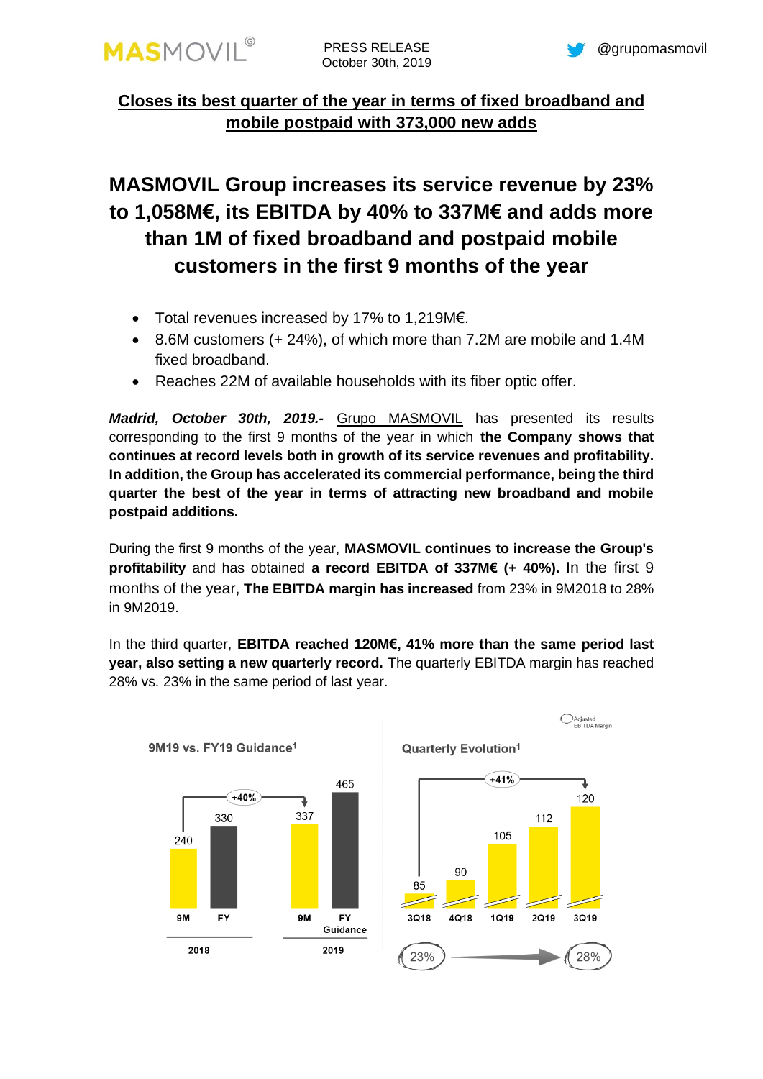

## **Closes its best quarter of the year in terms of fixed broadband and mobile postpaid with 373,000 new adds**

# **MASMOVIL Group increases its service revenue by 23% to 1,058M€, its EBITDA by 40% to 337M€ and adds more than 1M of fixed broadband and postpaid mobile customers in the first 9 months of the year**

- Total revenues increased by 17% to 1,219M€.
- 8.6M customers (+ 24%), of which more than 7.2M are mobile and 1.4M fixed broadband.
- Reaches 22M of available households with its fiber optic offer.

*Madrid, October 30th, 2019.-* [Grupo MASMOVIL](http://www.grupomasmovil.com/) has presented its results corresponding to the first 9 months of the year in which **the Company shows that continues at record levels both in growth of its service revenues and profitability. In addition, the Group has accelerated its commercial performance, being the third quarter the best of the year in terms of attracting new broadband and mobile postpaid additions.**

During the first 9 months of the year, **MASMOVIL continues to increase the Group's profitability** and has obtained **a record EBITDA of 337M€ (+ 40%).** In the first 9 months of the year, **The EBITDA margin has increased** from 23% in 9M2018 to 28% in 9M2019.

In the third quarter, **EBITDA reached 120M€, 41% more than the same period last year, also setting a new quarterly record.** The quarterly EBITDA margin has reached 28% vs. 23% in the same period of last year.



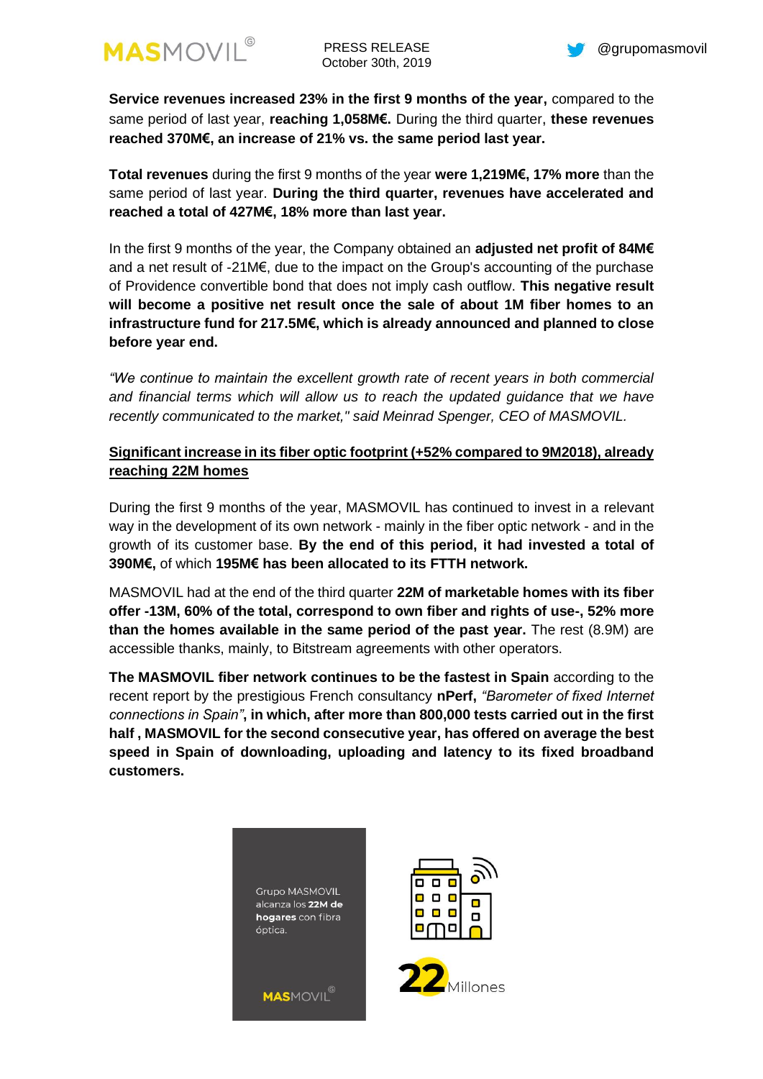

**Service revenues increased 23% in the first 9 months of the year,** compared to the same period of last year, **reaching 1,058M€.** During the third quarter, **these revenues reached 370M€, an increase of 21% vs. the same period last year.**

**Total revenues** during the first 9 months of the year **were 1,219M€, 17% more** than the same period of last year. **During the third quarter, revenues have accelerated and reached a total of 427M€, 18% more than last year.**

In the first 9 months of the year, the Company obtained an **adjusted net profit of 84M€** and a net result of -21M€, due to the impact on the Group's accounting of the purchase of Providence convertible bond that does not imply cash outflow. **This negative result will become a positive net result once the sale of about 1M fiber homes to an infrastructure fund for 217.5M€, which is already announced and planned to close before year end.**

*"We continue to maintain the excellent growth rate of recent years in both commercial and financial terms which will allow us to reach the updated guidance that we have recently communicated to the market," said Meinrad Spenger, CEO of MASMOVIL.*

## **Significant increase in its fiber optic footprint (+52% compared to 9M2018), already reaching 22M homes**

During the first 9 months of the year, MASMOVIL has continued to invest in a relevant way in the development of its own network - mainly in the fiber optic network - and in the growth of its customer base. **By the end of this period, it had invested a total of 390M€,** of which **195M€ has been allocated to its FTTH network.**

MASMOVIL had at the end of the third quarter **22M of marketable homes with its fiber offer -13M, 60% of the total, correspond to own fiber and rights of use-, 52% more than the homes available in the same period of the past year.** The rest (8.9M) are accessible thanks, mainly, to Bitstream agreements with other operators.

**The MASMOVIL fiber network continues to be the fastest in Spain** according to the recent report by the prestigious French consultancy **nPerf,** *"Barometer of fixed Internet connections in Spain"***, in which, after more than 800,000 tests carried out in the first half , MASMOVIL for the second consecutive year, has offered on average the best speed in Spain of downloading, uploading and latency to its fixed broadband customers.**





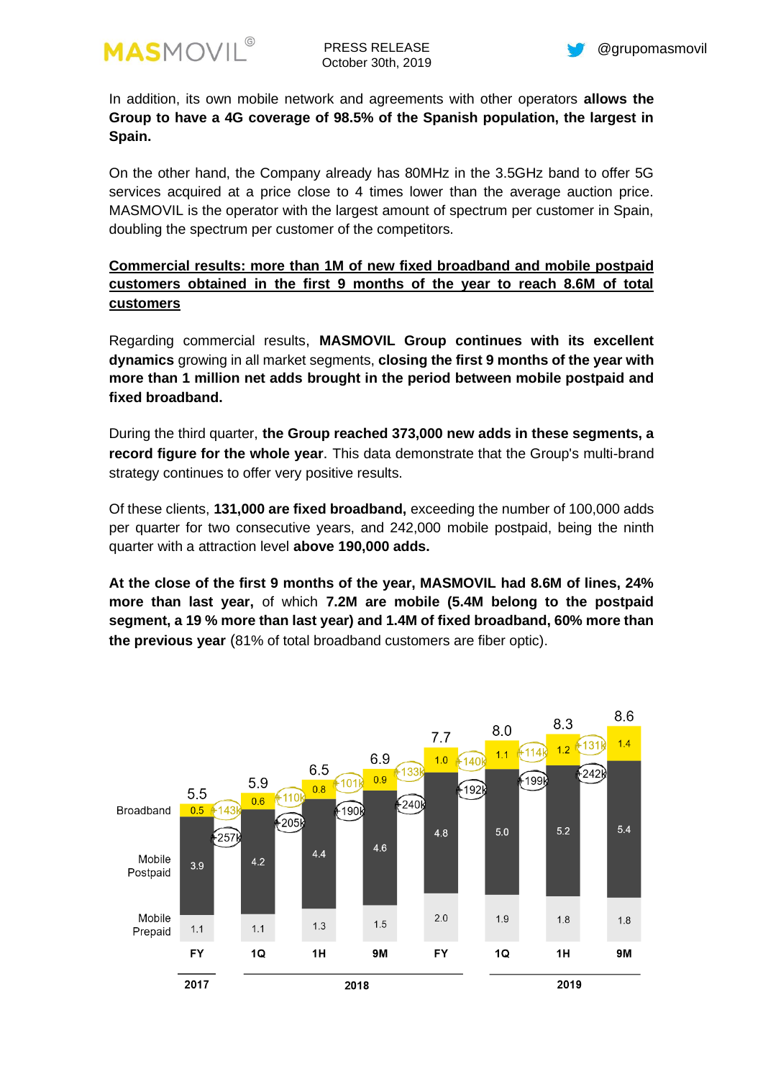

In addition, its own mobile network and agreements with other operators **allows the Group to have a 4G coverage of 98.5% of the Spanish population, the largest in Spain.**

On the other hand, the Company already has 80MHz in the 3.5GHz band to offer 5G services acquired at a price close to 4 times lower than the average auction price. MASMOVIL is the operator with the largest amount of spectrum per customer in Spain, doubling the spectrum per customer of the competitors.

## **Commercial results: more than 1M of new fixed broadband and mobile postpaid customers obtained in the first 9 months of the year to reach 8.6M of total customers**

Regarding commercial results, **MASMOVIL Group continues with its excellent dynamics** growing in all market segments, **closing the first 9 months of the year with more than 1 million net adds brought in the period between mobile postpaid and fixed broadband.**

During the third quarter, **the Group reached 373,000 new adds in these segments, a record figure for the whole year**. This data demonstrate that the Group's multi-brand strategy continues to offer very positive results.

Of these clients, **131,000 are fixed broadband,** exceeding the number of 100,000 adds per quarter for two consecutive years, and 242,000 mobile postpaid, being the ninth quarter with a attraction level **above 190,000 adds.**

**At the close of the first 9 months of the year, MASMOVIL had 8.6M of lines, 24% more than last year,** of which **7.2M are mobile (5.4M belong to the postpaid segment, a 19 % more than last year) and 1.4M of fixed broadband, 60% more than the previous year** (81% of total broadband customers are fiber optic).